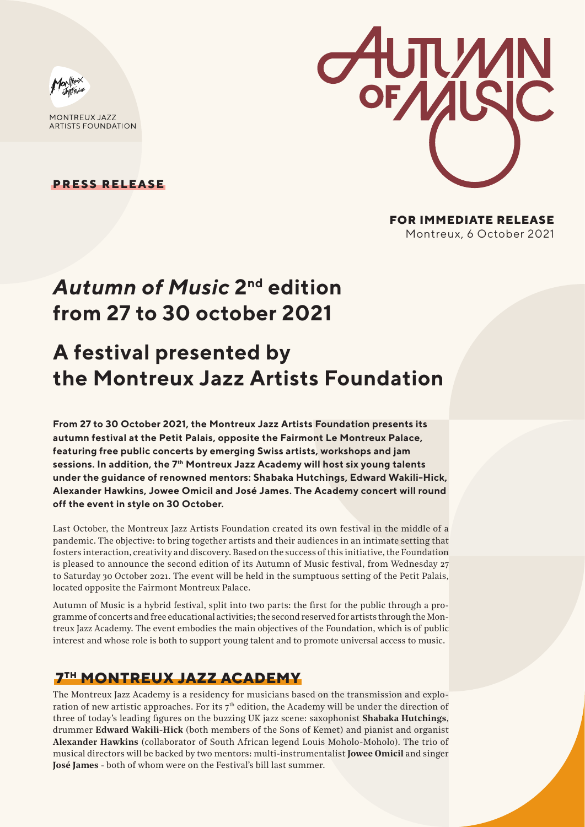

MONTREUX 1477 **ARTISTS FOUNDATION** 

**PRESS RELEASE**



**FOR IMMEDIATE RELEASE** Montreux, 6 October 2021

## *Autumn of Music* **2nd edition from 27 to 30 october 2021**

# **A festival presented by the Montreux Jazz Artists Foundation**

**From 27 to 30 October 2021, the Montreux Jazz Artists Foundation presents its autumn festival at the Petit Palais, opposite the Fairmont Le Montreux Palace, featuring free public concerts by emerging Swiss artists, workshops and jam sessions. In addition, the 7th Montreux Jazz Academy will host six young talents under the guidance of renowned mentors: Shabaka Hutchings, Edward Wakili-Hick, Alexander Hawkins, Jowee Omicil and José James. The Academy concert will round off the event in style on 30 October.**

Last October, the Montreux Jazz Artists Foundation created its own festival in the middle of a pandemic. The objective: to bring together artists and their audiences in an intimate setting that fosters interaction, creativity and discovery. Based on the success of this initiative, the Foundation is pleased to announce the second edition of its Autumn of Music festival, from Wednesday  $27$ to Saturday 30 October 2021. The event will be held in the sumptuous setting of the Petit Palais, located opposite the Fairmont Montreux Palace.

Autumn of Music is a hybrid festival, split into two parts: the first for the public through a programme of concerts and free educational activities; the second reserved for artists through the Montreux Jazz Academy. The event embodies the main objectives of the Foundation, which is of public interest and whose role is both to support young talent and to promote universal access to music.

### **7TH MONTREUX JAZZ ACADEMY**

The Montreux Jazz Academy is a residency for musicians based on the transmission and exploration of new artistic approaches. For its  $7<sup>th</sup>$  edition, the Academy will be under the direction of three of today's leading figures on the buzzing UK jazz scene: saxophonist **Shabaka Hutchings**, drummer **Edward Wakili-Hick** (both members of the Sons of Kemet) and pianist and organist **Alexander Hawkins** (collaborator of South African legend Louis Moholo-Moholo). The trio of musical directors will be backed by two mentors: multi-instrumentalist **Jowee Omicil** and singer **José James** - both of whom were on the Festival's bill last summer.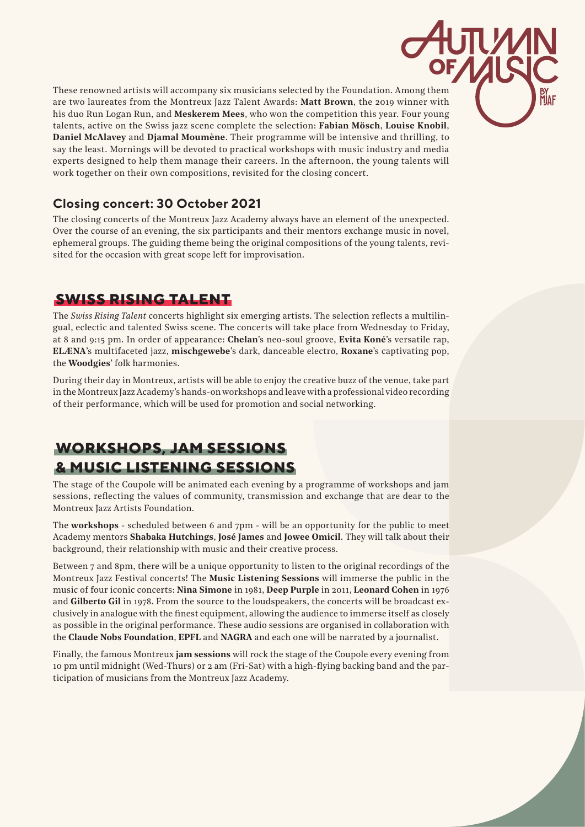These renowned artists will accompany six musicians selected by the Foundation. Among them are two laureates from the Montreux Jazz Talent Awards: **Matt Brown**, the 2019 winner with his duo Run Logan Run, and **Meskerem Mees**, who won the competition this year. Four young talents, active on the Swiss jazz scene complete the selection: **Fabian Mösch**, **Louise Knobil**, **Daniel McAlavey** and **Djamal Moumène**. Their programme will be intensive and thrilling, to say the least. Mornings will be devoted to practical workshops with music industry and media experts designed to help them manage their careers. In the afternoon, the young talents will work together on their own compositions, revisited for the closing concert.

#### **Closing concert: 30 October 2021**

The closing concerts of the Montreux Jazz Academy always have an element of the unexpected. Over the course of an evening, the six participants and their mentors exchange music in novel, ephemeral groups. The guiding theme being the original compositions of the young talents, revisited for the occasion with great scope left for improvisation.

### **SWISS RISING TALENT**

The *Swiss Rising Talent* concerts highlight six emerging artists. The selection reflects a multilingual, eclectic and talented Swiss scene. The concerts will take place from Wednesday to Friday, at 8 and 9:15 pm. In order of appearance: **Chelan**'s neo-soul groove, **Evita Koné**'s versatile rap, **ELÆNA**'s multifaceted jazz, **mischgewebe**'s dark, danceable electro, **Roxane**'s captivating pop, the **Woodgies**' folk harmonies.

During their day in Montreux, artists will be able to enjoy the creative buzz of the venue, take part in the Montreux Jazz Academy's hands-on workshops and leave with a professional video recording of their performance, which will be used for promotion and social networking.

### **WORKSHOPS, JAM SESSIONS & MUSIC LISTENING SESSIONS**

The stage of the Coupole will be animated each evening by a programme of workshops and jam sessions, reflecting the values of community, transmission and exchange that are dear to the Montreux Jazz Artists Foundation.

The **workshops** - scheduled between 6 and 7pm - will be an opportunity for the public to meet Academy mentors **Shabaka Hutchings**, **José James** and **Jowee Omicil**. They will talk about their background, their relationship with music and their creative process.

Between 7 and 8pm, there will be a unique opportunity to listen to the original recordings of the Montreux Jazz Festival concerts! The **Music Listening Sessions** will immerse the public in the music of four iconic concerts: **Nina Simone** in 1981, **Deep Purple** in 2011, **Leonard Cohen** in 1976 and **Gilberto Gil** in 1978. From the source to the loudspeakers, the concerts will be broadcast exclusively in analogue with the finest equipment, allowing the audience to immerse itself as closely as possible in the original performance. These audio sessions are organised in collaboration with the **Claude Nobs Foundation**, **EPFL** and **NAGRA** and each one will be narrated by a journalist.

Finally, the famous Montreux **jam sessions** will rock the stage of the Coupole every evening from 10 pm until midnight (Wed-Thurs) or 2 am (Fri-Sat) with a high-flying backing band and the participation of musicians from the Montreux Jazz Academy.